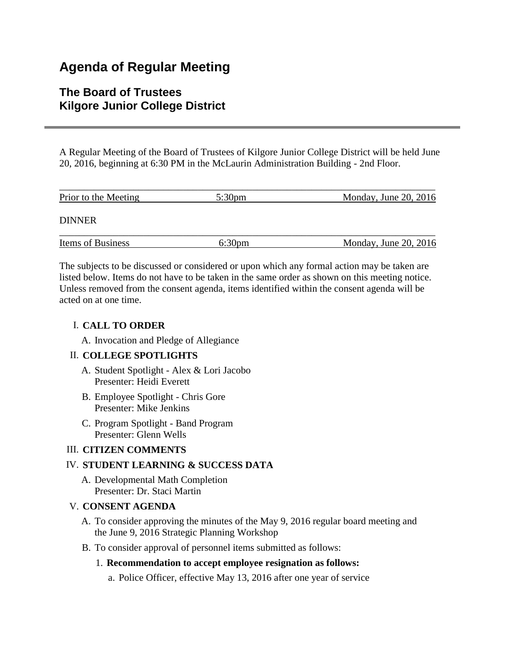# **Agenda of Regular Meeting**

## **The Board of Trustees Kilgore Junior College District**

A Regular Meeting of the Board of Trustees of Kilgore Junior College District will be held June 20, 2016, beginning at 6:30 PM in the McLaurin Administration Building - 2nd Floor.

| Prior to the Meeting     | 5:30 <sub>pm</sub> | Monday, June $20$ , $2016$ |
|--------------------------|--------------------|----------------------------|
| <b>DINNER</b>            |                    |                            |
| <b>Items of Business</b> | 6:30 <sub>pm</sub> | Monday, June $20$ , $2016$ |

The subjects to be discussed or considered or upon which any formal action may be taken are listed below. Items do not have to be taken in the same order as shown on this meeting notice. Unless removed from the consent agenda, items identified within the consent agenda will be acted on at one time.

### I. **CALL TO ORDER**

A. Invocation and Pledge of Allegiance

### II. **COLLEGE SPOTLIGHTS**

- A. Student Spotlight Alex & Lori Jacobo Presenter: Heidi Everett
- B. Employee Spotlight Chris Gore Presenter: Mike Jenkins
- C. Program Spotlight Band Program Presenter: Glenn Wells

### III. **CITIZEN COMMENTS**

### IV. **STUDENT LEARNING & SUCCESS DATA**

A. Developmental Math Completion Presenter: Dr. Staci Martin

### V. **CONSENT AGENDA**

- A. To consider approving the minutes of the May 9, 2016 regular board meeting and the June 9, 2016 Strategic Planning Workshop
- B. To consider approval of personnel items submitted as follows:

### 1. **Recommendation to accept employee resignation as follows:**

a. Police Officer, effective May 13, 2016 after one year of service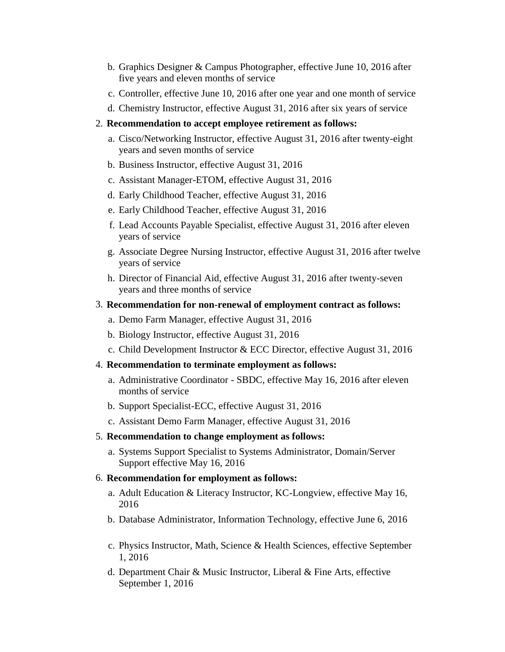- b. Graphics Designer & Campus Photographer, effective June 10, 2016 after five years and eleven months of service
- c. Controller, effective June 10, 2016 after one year and one month of service
- d. Chemistry Instructor, effective August 31, 2016 after six years of service

#### 2. **Recommendation to accept employee retirement as follows:**

- a. Cisco/Networking Instructor, effective August 31, 2016 after twenty-eight years and seven months of service
- b. Business Instructor, effective August 31, 2016
- c. Assistant Manager-ETOM, effective August 31, 2016
- d. Early Childhood Teacher, effective August 31, 2016
- e. Early Childhood Teacher, effective August 31, 2016
- f. Lead Accounts Payable Specialist, effective August 31, 2016 after eleven years of service
- g. Associate Degree Nursing Instructor, effective August 31, 2016 after twelve years of service
- h. Director of Financial Aid, effective August 31, 2016 after twenty-seven years and three months of service

#### 3. **Recommendation for non-renewal of employment contract as follows:**

- a. Demo Farm Manager, effective August 31, 2016
- b. Biology Instructor, effective August 31, 2016
- c. Child Development Instructor & ECC Director, effective August 31, 2016

#### 4. **Recommendation to terminate employment as follows:**

- a. Administrative Coordinator SBDC, effective May 16, 2016 after eleven months of service
- b. Support Specialist-ECC, effective August 31, 2016
- c. Assistant Demo Farm Manager, effective August 31, 2016

#### 5. **Recommendation to change employment as follows:**

a. Systems Support Specialist to Systems Administrator, Domain/Server Support effective May 16, 2016

#### 6. **Recommendation for employment as follows:**

- a. Adult Education & Literacy Instructor, KC-Longview, effective May 16, 2016
- b. Database Administrator, Information Technology, effective June 6, 2016
- c. Physics Instructor, Math, Science & Health Sciences, effective September 1, 2016
- d. Department Chair & Music Instructor, Liberal & Fine Arts, effective September 1, 2016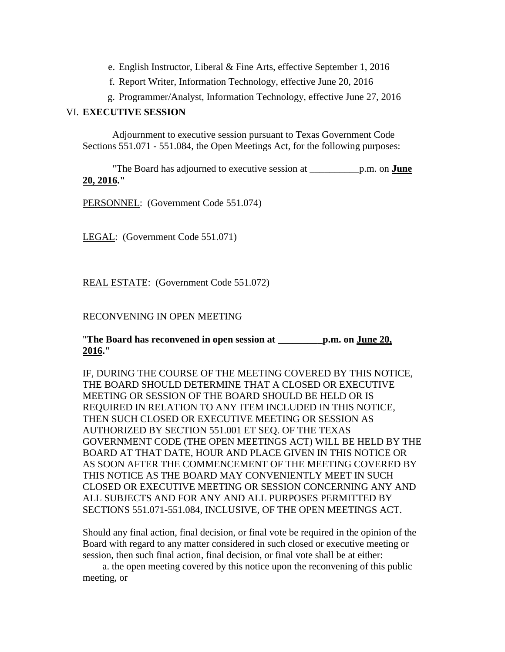- e. English Instructor, Liberal & Fine Arts, effective September 1, 2016
- f. Report Writer, Information Technology, effective June 20, 2016
- g. Programmer/Analyst, Information Technology, effective June 27, 2016

#### VI. **EXECUTIVE SESSION**

 Adjournment to executive session pursuant to Texas Government Code Sections 551.071 - 551.084, the Open Meetings Act, for the following purposes:

 "The Board has adjourned to executive session at \_\_\_\_\_\_\_\_\_\_p.m. on **June 20, 2016."**

PERSONNEL: (Government Code 551.074)

LEGAL: (Government Code 551.071)

REAL ESTATE: (Government Code 551.072)

#### RECONVENING IN OPEN MEETING

"**The Board has reconvened in open session at \_\_\_\_\_\_\_\_\_p.m. on June 20, 2016."**

IF, DURING THE COURSE OF THE MEETING COVERED BY THIS NOTICE, THE BOARD SHOULD DETERMINE THAT A CLOSED OR EXECUTIVE MEETING OR SESSION OF THE BOARD SHOULD BE HELD OR IS REQUIRED IN RELATION TO ANY ITEM INCLUDED IN THIS NOTICE, THEN SUCH CLOSED OR EXECUTIVE MEETING OR SESSION AS AUTHORIZED BY SECTION 551.001 ET SEQ. OF THE TEXAS GOVERNMENT CODE (THE OPEN MEETINGS ACT) WILL BE HELD BY THE BOARD AT THAT DATE, HOUR AND PLACE GIVEN IN THIS NOTICE OR AS SOON AFTER THE COMMENCEMENT OF THE MEETING COVERED BY THIS NOTICE AS THE BOARD MAY CONVENIENTLY MEET IN SUCH CLOSED OR EXECUTIVE MEETING OR SESSION CONCERNING ANY AND ALL SUBJECTS AND FOR ANY AND ALL PURPOSES PERMITTED BY SECTIONS 551.071-551.084, INCLUSIVE, OF THE OPEN MEETINGS ACT.

Should any final action, final decision, or final vote be required in the opinion of the Board with regard to any matter considered in such closed or executive meeting or session, then such final action, final decision, or final vote shall be at either:

 a. the open meeting covered by this notice upon the reconvening of this public meeting, or